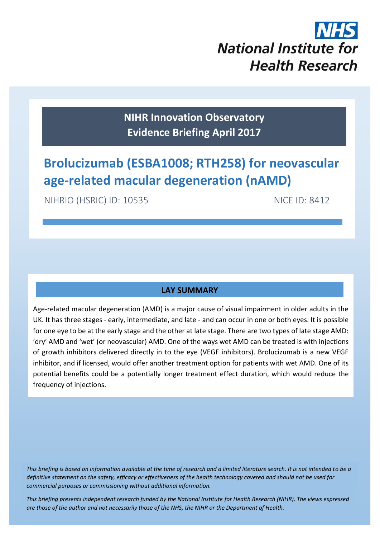

**NIHR Innovation Observatory Evidence Briefing April 2017**

# **Brolucizumab (ESBA1008; RTH258) for neovascular age-related macular degeneration (nAMD)**

NIHRIO (HSRIC) ID: 10535 NICE ID: 8412

# **LAY SUMMARY**

Age-related macular degeneration (AMD) is a major cause of visual impairment in older adults in the UK. It has three stages - early, intermediate, and late - and can occur in one or both eyes. It is possible for one eye to be at the early stage and the other at late stage. There are two types of late stage AMD: 'dry' AMD and 'wet' (or neovascular) AMD. One of the ways wet AMD can be treated is with injections of growth inhibitors delivered directly in to the eye (VEGF inhibitors). Brolucizumab is a new VEGF inhibitor, and if licensed, would offer another treatment option for patients with wet AMD. One of its potential benefits could be a potentially longer treatment effect duration, which would reduce the frequency of injections.

*This briefing is based on information available at the time of research and a limited literature search. It is not intended to be a definitive statement on the safety, efficacy or effectiveness of the health technology covered and should not be used for commercial purposes or commissioning without additional information.*

1 *This briefing presents independent research funded by the National Institute for Health Research (NIHR). The views expressed are those of the author and not necessarily those of the NHS, the NIHR or the Department of Health.*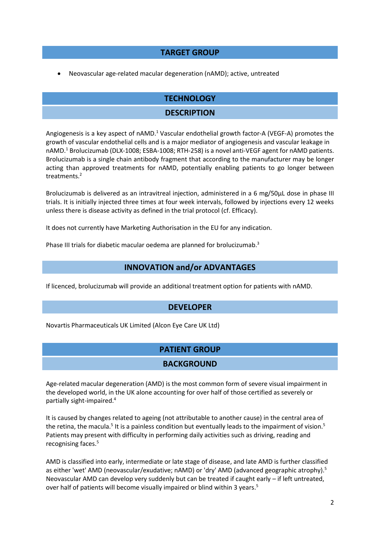#### **TARGET GROUP**

Neovascular age-related macular degeneration (nAMD); active, untreated

# <span id="page-1-0"></span>**TECHNOLOGY DESCRIPTION**

Angiogenesis is a key aspect of nAMD.<sup>1</sup> Vascular endothelial growth factor-A (VEGF-A) promotes the growth of vascular endothelial cells and is a major mediator of angiogenesis and vascular leakage in nAMD[.](#page-1-0) <sup>1</sup> Brolucizumab (DLX-1008; ESBA-1008; RTH-258) is a novel anti-VEGF agent for nAMD patients. Brolucizumab is a single chain antibody fragment that according to the manufacturer may be longer acting than approved treatments for nAMD, potentially enabling patients to go longer between treatments. 2

Brolucizumab is delivered as an intravitreal injection, administered in a 6 mg/50 $\mu$ L dose in phase III trials. It is initially injected three times at four week intervals, followed by injections every 12 weeks unless there is disease activity as defined in the trial protocol (cf. Efficacy).

It does not currently have Marketing Authorisation in the EU for any indication.

Phase III trials for diabetic macular oedema are planned for brolucizumab.<sup>3</sup>

#### **INNOVATION and/or ADVANTAGES**

If licenced, brolucizumab will provide an additional treatment option for patients with nAMD.

#### **DEVELOPER**

Novartis Pharmaceuticals UK Limited (Alcon Eye Care UK Ltd)

# **PATIENT GROUP**

#### **BACKGROUND**

Age-related macular degeneration (AMD) is the most common form of severe visual impairment in the developed world, in the UK alone accounting for over half of those certified as severely or partially sight-impaired. 4

<span id="page-1-1"></span>It is caused by changes related to ageing (not attributable to another cause) in the central area of the retina, the macula.<sup>[5](#page-1-1)</sup> It is a painless condition but eventually leads to the impairment of vision.<sup>5</sup> Patients may present with difficulty in performing daily activities such as driving, reading and recognising faces[.](#page-1-1) 5

AMD is classified into early, intermediate or late stage of disease, and late AMD is further classified as either 'wet' AMD (neovascular/exudative; nAMD) or 'dry' AMD (advanced geographic atrophy)[.](#page-1-1)<sup>5</sup> Neovascular AMD can develop very suddenly but can be treated if caught early – if left untreated, over half of patients will become visually impaired or blind within 3 years[.](#page-1-1)<sup>5</sup>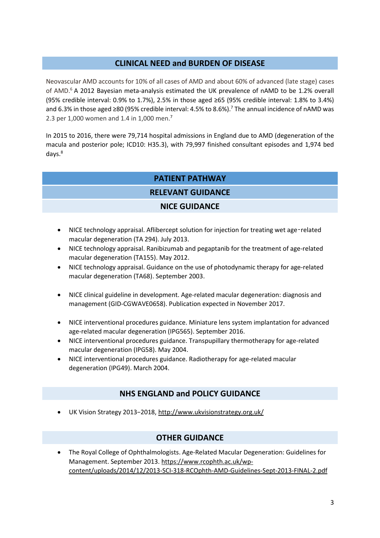# **CLINICAL NEED and BURDEN OF DISEASE**

Neovascular AMD accounts for 10% of all cases of AMD and about 60% of advanced (late stage) cases of AMD. <sup>6</sup> A 2012 Bayesian meta-analysis estimated the UK prevalence of nAMD to be 1.2% overall (95% credible interval: 0.9% to 1.7%), 2.5% in those aged ≥65 (95% credible interval: 1.8% to 3.4%) and 6.3% in those aged ≥80 (95% credible interval: 4.5% to 8.6%). <sup>7</sup> The annual incidence of nAMD was 2[.](#page-2-0)3 per 1,000 women and 1.4 in 1,000 men.<sup>7</sup>

In 2015 to 2016, there were 79,714 hospital admissions in England due to AMD (degeneration of the macula and posterior pole; ICD10: H35.3), with 79,997 finished consultant episodes and 1,974 bed days. 8

# <span id="page-2-0"></span>**PATIENT PATHWAY**

#### **RELEVANT GUIDANCE**

#### **NICE GUIDANCE**

- NICE technology appraisal. Aflibercept solution for injection for treating wet age-related macular degeneration (TA 294). July 2013.
- NICE technology appraisal. Ranibizumab and pegaptanib for the treatment of age-related macular degeneration (TA155). May 2012.
- NICE technology appraisal. Guidance on the use of photodynamic therapy for age-related macular degeneration (TA68). September 2003.
- NICE clinical guideline in development. Age-related macular degeneration: diagnosis and management (GID-CGWAVE0658). Publication expected in November 2017.
- NICE interventional procedures guidance. Miniature lens system implantation for advanced age-related macular degeneration (IPG565). September 2016.
- NICE interventional procedures guidance. Transpupillary thermotherapy for age-related macular degeneration (IPG58). May 2004.
- NICE interventional procedures guidance. Radiotherapy for age-related macular degeneration (IPG49). March 2004.

# **NHS ENGLAND and POLICY GUIDANCE**

UK Vision Strategy 2013−2018, <http://www.ukvisionstrategy.org.uk/>

# **OTHER GUIDANCE**

 The Royal College of Ophthalmologists. Age-Related Macular Degeneration: Guidelines for Management. September 2013. [https://www.rcophth.ac.uk/wp](https://www.rcophth.ac.uk/wp-content/uploads/2014/12/2013-SCI-318-RCOphth-AMD-Guidelines-Sept-2013-FINAL-2.pdf)[content/uploads/2014/12/2013-SCI-318-RCOphth-AMD-Guidelines-Sept-2013-FINAL-2.pdf](https://www.rcophth.ac.uk/wp-content/uploads/2014/12/2013-SCI-318-RCOphth-AMD-Guidelines-Sept-2013-FINAL-2.pdf)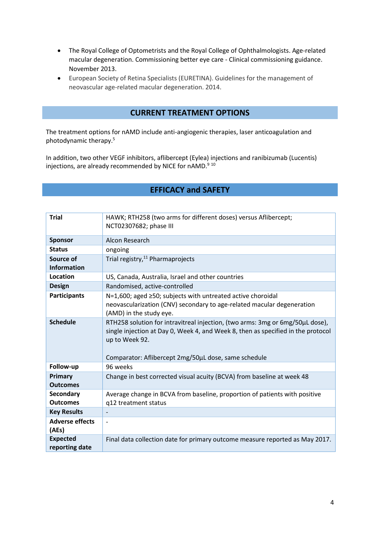- The Royal College of Optometrists and the Royal College of Ophthalmologists. Age-related macular degeneration. Commissioning better eye care - Clinical commissioning guidance. November 2013.
- European Society of Retina Specialists (EURETINA). Guidelines for the management of neovascular age-related macular degeneration. 2014.

# **CURRENT TREATMENT OPTIONS**

The treatment options for nAMD include anti-angiogenic therapies, laser anticoagulation and photodynamic therapy[.](#page-1-1) 5

In addition, two other VEGF inhibitors, aflibercept (Eylea) injections and ranibizumab (Lucentis) injections, are already recommended by NICE for nAMD.<sup>9 10</sup>

#### **EFFICACY and SAFETY**

| <b>Trial</b>                        | HAWK; RTH258 (two arms for different doses) versus Aflibercept;<br>NCT02307682; phase III                                                                                                                                                   |
|-------------------------------------|---------------------------------------------------------------------------------------------------------------------------------------------------------------------------------------------------------------------------------------------|
| <b>Sponsor</b>                      | Alcon Research                                                                                                                                                                                                                              |
| <b>Status</b>                       | ongoing                                                                                                                                                                                                                                     |
| Source of<br><b>Information</b>     | Trial registry, <sup>11</sup> Pharmaprojects                                                                                                                                                                                                |
| Location                            | US, Canada, Australia, Israel and other countries                                                                                                                                                                                           |
| <b>Design</b>                       | Randomised, active-controlled                                                                                                                                                                                                               |
| <b>Participants</b>                 | N=1,600; aged ≥50; subjects with untreated active choroidal<br>neovascularization (CNV) secondary to age-related macular degeneration<br>(AMD) in the study eye.                                                                            |
| <b>Schedule</b>                     | RTH258 solution for intravitreal injection, (two arms: 3mg or 6mg/50µL dose),<br>single injection at Day 0, Week 4, and Week 8, then as specified in the protocol<br>up to Week 92.<br>Comparator: Aflibercept 2mg/50µL dose, same schedule |
| Follow-up                           | 96 weeks                                                                                                                                                                                                                                    |
| Primary<br><b>Outcomes</b>          | Change in best corrected visual acuity (BCVA) from baseline at week 48                                                                                                                                                                      |
| <b>Secondary</b><br><b>Outcomes</b> | Average change in BCVA from baseline, proportion of patients with positive<br>q12 treatment status                                                                                                                                          |
| <b>Key Results</b>                  | $\overline{\phantom{a}}$                                                                                                                                                                                                                    |
| <b>Adverse effects</b><br>(AEs)     | $\overline{\phantom{a}}$                                                                                                                                                                                                                    |
| <b>Expected</b><br>reporting date   | Final data collection date for primary outcome measure reported as May 2017.                                                                                                                                                                |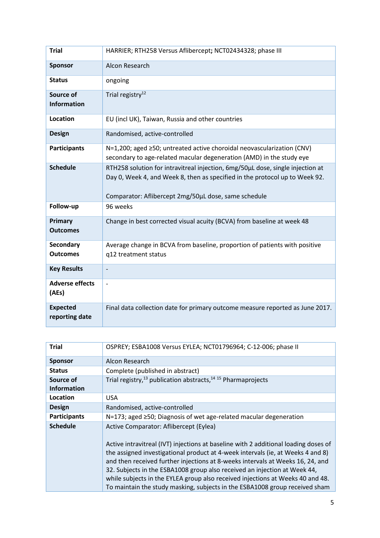| <b>Trial</b>                        | HARRIER; RTH258 Versus Aflibercept; NCT02434328; phase III                                                                                                                                                            |
|-------------------------------------|-----------------------------------------------------------------------------------------------------------------------------------------------------------------------------------------------------------------------|
| <b>Sponsor</b>                      | Alcon Research                                                                                                                                                                                                        |
| <b>Status</b>                       | ongoing                                                                                                                                                                                                               |
| Source of<br><b>Information</b>     | Trial registry <sup>12</sup>                                                                                                                                                                                          |
| <b>Location</b>                     | EU (incl UK), Taiwan, Russia and other countries                                                                                                                                                                      |
| <b>Design</b>                       | Randomised, active-controlled                                                                                                                                                                                         |
| <b>Participants</b>                 | N=1,200; aged ≥50; untreated active choroidal neovascularization (CNV)<br>secondary to age-related macular degeneration (AMD) in the study eye                                                                        |
| <b>Schedule</b>                     | RTH258 solution for intravitreal injection, 6mg/50µL dose, single injection at<br>Day 0, Week 4, and Week 8, then as specified in the protocol up to Week 92.<br>Comparator: Aflibercept 2mg/50µL dose, same schedule |
| Follow-up                           | 96 weeks                                                                                                                                                                                                              |
| Primary<br><b>Outcomes</b>          | Change in best corrected visual acuity (BCVA) from baseline at week 48                                                                                                                                                |
| <b>Secondary</b><br><b>Outcomes</b> | Average change in BCVA from baseline, proportion of patients with positive<br>q12 treatment status                                                                                                                    |
| <b>Key Results</b>                  |                                                                                                                                                                                                                       |
| <b>Adverse effects</b><br>(AEs)     | $\overline{\phantom{a}}$                                                                                                                                                                                              |
| <b>Expected</b><br>reporting date   | Final data collection date for primary outcome measure reported as June 2017.                                                                                                                                         |

| <b>Trial</b>        | OSPREY; ESBA1008 Versus EYLEA; NCT01796964; C-12-006; phase II                                                                                                                                                                                                                                                                                                                                                                                                                                                                                   |  |
|---------------------|--------------------------------------------------------------------------------------------------------------------------------------------------------------------------------------------------------------------------------------------------------------------------------------------------------------------------------------------------------------------------------------------------------------------------------------------------------------------------------------------------------------------------------------------------|--|
| <b>Sponsor</b>      | Alcon Research                                                                                                                                                                                                                                                                                                                                                                                                                                                                                                                                   |  |
| <b>Status</b>       | Complete (published in abstract)                                                                                                                                                                                                                                                                                                                                                                                                                                                                                                                 |  |
| Source of           | Trial registry, <sup>13</sup> publication abstracts, <sup>14 15</sup> Pharmaprojects                                                                                                                                                                                                                                                                                                                                                                                                                                                             |  |
| <b>Information</b>  |                                                                                                                                                                                                                                                                                                                                                                                                                                                                                                                                                  |  |
| Location            | USA.                                                                                                                                                                                                                                                                                                                                                                                                                                                                                                                                             |  |
| <b>Design</b>       | Randomised, active-controlled                                                                                                                                                                                                                                                                                                                                                                                                                                                                                                                    |  |
| <b>Participants</b> | N=173; aged ≥50; Diagnosis of wet age-related macular degeneration                                                                                                                                                                                                                                                                                                                                                                                                                                                                               |  |
| <b>Schedule</b>     | Active Comparator: Aflibercept (Eylea)<br>Active intravitreal (IVT) injections at baseline with 2 additional loading doses of<br>the assigned investigational product at 4-week intervals (ie, at Weeks 4 and 8)<br>and then received further injections at 8-weeks intervals at Weeks 16, 24, and<br>32. Subjects in the ESBA1008 group also received an injection at Week 44,<br>while subjects in the EYLEA group also received injections at Weeks 40 and 48.<br>To maintain the study masking, subjects in the ESBA1008 group received sham |  |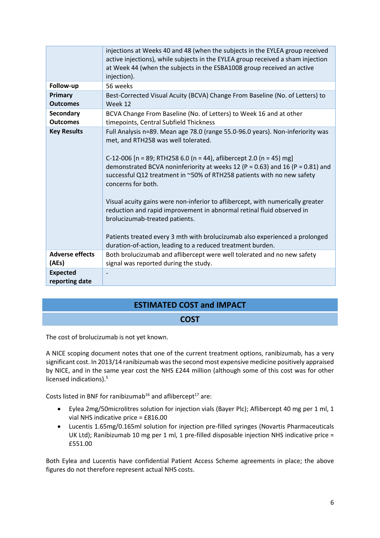|                                   | injections at Weeks 40 and 48 (when the subjects in the EYLEA group received<br>active injections), while subjects in the EYLEA group received a sham injection<br>at Week 44 (when the subjects in the ESBA1008 group received an active<br>injection).                                                                                                                                                                                                                                                                                                                                                                                                                                                                |
|-----------------------------------|-------------------------------------------------------------------------------------------------------------------------------------------------------------------------------------------------------------------------------------------------------------------------------------------------------------------------------------------------------------------------------------------------------------------------------------------------------------------------------------------------------------------------------------------------------------------------------------------------------------------------------------------------------------------------------------------------------------------------|
| Follow-up                         | 56 weeks                                                                                                                                                                                                                                                                                                                                                                                                                                                                                                                                                                                                                                                                                                                |
| Primary<br><b>Outcomes</b>        | Best-Corrected Visual Acuity (BCVA) Change From Baseline (No. of Letters) to<br>Week 12                                                                                                                                                                                                                                                                                                                                                                                                                                                                                                                                                                                                                                 |
| Secondary<br><b>Outcomes</b>      | BCVA Change From Baseline (No. of Letters) to Week 16 and at other<br>timepoints, Central Subfield Thickness                                                                                                                                                                                                                                                                                                                                                                                                                                                                                                                                                                                                            |
| <b>Key Results</b>                | Full Analysis n=89. Mean age 78.0 (range 55.0-96.0 years). Non-inferiority was<br>met, and RTH258 was well tolerated.<br>C-12-006 [n = 89; RTH258 6.0 (n = 44), aflibercept 2.0 (n = 45) mg]<br>demonstrated BCVA noninferiority at weeks 12 (P = 0.63) and 16 (P = 0.81) and<br>successful Q12 treatment in ~50% of RTH258 patients with no new safety<br>concerns for both.<br>Visual acuity gains were non-inferior to aflibercept, with numerically greater<br>reduction and rapid improvement in abnormal retinal fluid observed in<br>brolucizumab-treated patients.<br>Patients treated every 3 mth with brolucizumab also experienced a prolonged<br>duration-of-action, leading to a reduced treatment burden. |
| <b>Adverse effects</b><br>(AEs)   | Both brolucizumab and aflibercept were well tolerated and no new safety<br>signal was reported during the study.                                                                                                                                                                                                                                                                                                                                                                                                                                                                                                                                                                                                        |
|                                   |                                                                                                                                                                                                                                                                                                                                                                                                                                                                                                                                                                                                                                                                                                                         |
| <b>Expected</b><br>reporting date |                                                                                                                                                                                                                                                                                                                                                                                                                                                                                                                                                                                                                                                                                                                         |

# **ESTIMATED COST and IMPACT**

# **COST**

The cost of brolucizumab is not yet known.

A NICE scoping document notes that one of the current treatment options, ranibizumab, has a very significant cost. In 2013/14 ranibizumab was the second most expensive medicine positively appraised by NICE, and in the same year cost the NHS £244 million (although some of this cost was for other licensed indications[\).](#page-1-1) 5

Costs listed in BNF for ranibizumab<sup>16</sup> and aflibercept<sup>17</sup> are:

- Eylea 2mg/50microlitres solution for injection vials (Bayer Plc); Aflibercept 40 mg per 1 ml, 1 vial NHS indicative price = £816.00
- Lucentis 1.65mg/0.165ml solution for injection pre-filled syringes (Novartis Pharmaceuticals UK Ltd); Ranibizumab 10 mg per 1 ml, 1 pre-filled disposable injection NHS indicative price = £551.00

Both Eylea and Lucentis have confidential Patient Access Scheme agreements in place; the above figures do not therefore represent actual NHS costs.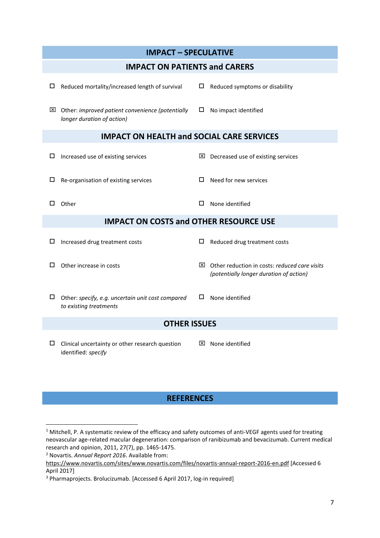| <b>IMPACT - SPECULATIVE</b>                                                      |                                                           |  |  |  |  |
|----------------------------------------------------------------------------------|-----------------------------------------------------------|--|--|--|--|
| <b>IMPACT ON PATIENTS and CARERS</b>                                             |                                                           |  |  |  |  |
| Reduced mortality/increased length of survival                                   | Reduced symptoms or disability                            |  |  |  |  |
| □                                                                                | □                                                         |  |  |  |  |
| $\boxtimes$ Other: improved patient convenience (potentially                     | □.                                                        |  |  |  |  |
| longer duration of action)                                                       | No impact identified                                      |  |  |  |  |
| <b>IMPACT ON HEALTH and SOCIAL CARE SERVICES</b>                                 |                                                           |  |  |  |  |
| Increased use of existing services                                               | Decreased use of existing services                        |  |  |  |  |
| ш                                                                                | ×                                                         |  |  |  |  |
| Re-organisation of existing services                                             | Need for new services                                     |  |  |  |  |
| ш                                                                                | □                                                         |  |  |  |  |
| Other                                                                            | □                                                         |  |  |  |  |
| □                                                                                | None identified                                           |  |  |  |  |
| <b>IMPACT ON COSTS and OTHER RESOURCE USE</b>                                    |                                                           |  |  |  |  |
| Increased drug treatment costs                                                   | □                                                         |  |  |  |  |
| □                                                                                | Reduced drug treatment costs                              |  |  |  |  |
| Other increase in costs                                                          | $\boxtimes$ Other reduction in costs: reduced care visits |  |  |  |  |
| П                                                                                | (potentially longer duration of action)                   |  |  |  |  |
| □<br>Other: specify, e.g. uncertain unit cost compared<br>to existing treatments | None identified<br>□                                      |  |  |  |  |
| <b>OTHER ISSUES</b>                                                              |                                                           |  |  |  |  |
| Clinical uncertainty or other research question<br>ш<br>identified: specify      | None identified<br>⊠                                      |  |  |  |  |

# **REFERENCES**

**.** 

<sup>1</sup> Mitchell, P. A systematic review of the efficacy and safety outcomes of anti-VEGF agents used for treating neovascular age-related macular degeneration: comparison of ranibizumab and bevacizumab. Current medical research and opinion, 2011, 27(7), pp. 1465-1475.

<sup>2</sup> Novartis. *Annual Report 2016*. Available from:

<https://www.novartis.com/sites/www.novartis.com/files/novartis-annual-report-2016-en.pdf> [Accessed 6 April 2017]

<sup>3</sup> Pharmaprojects. Brolucizumab. [Accessed 6 April 2017, log-in required]